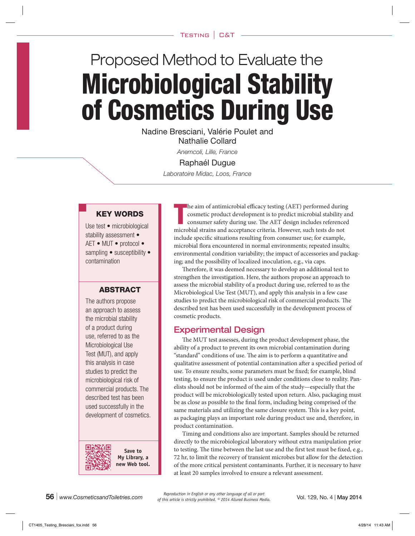# Proposed Method to Evaluate the Microbiological Stability of Cosmetics During Use

Nadine Bresciani, Valérie Poulet and Nathalie Collard

*Anemcoli, Lille, France*

#### Raphaél Dugue

*Laboratoire Midac, Loos, France*

# KEY WORDS

Use test • microbiological stability assessment • AET • MUT • protocol • sampling • susceptibility • contamination

#### ABSTRACT

The authors propose an approach to assess the microbial stability of a product during use, referred to as the Microbiological Use Test (MUT), and apply this analysis in case studies to predict the microbiological risk of commercial products. The described test has been used successfully in the development of cosmetics.



**Save to My Library, a new Web tool.**

T he aim of antimicrobial efficacy testing (AET) performed during cosmetic product development is to predict microbial stability and consumer safety during use. The AET design includes referenced microbial strains and acceptance criteria. However, such tests do not include specific situations resulting from consumer use; for example, microbial flora encountered in normal environments; repeated insults; environmental condition variability; the impact of accessories and packaging; and the possibility of localized inoculation, e.g., via caps.

Therefore, it was deemed necessary to develop an additional test to strengthen the investigation. Here, the authors propose an approach to assess the microbial stability of a product during use, referred to as the Microbiological Use Test (MUT), and apply this analysis in a few case studies to predict the microbiological risk of commercial products. The described test has been used successfully in the development process of cosmetic products.

# Experimental Design

The MUT test assesses, during the product development phase, the ability of a product to prevent its own microbial contamination during "standard" conditions of use. The aim is to perform a quantitative and qualitative assessment of potential contamination after a specified period of use. To ensure results, some parameters must be fixed; for example, blind testing, to ensure the product is used under conditions close to reality. Panelists should not be informed of the aim of the study—especially that the product will be microbiologically tested upon return. Also, packaging must be as close as possible to the final form, including being comprised of the same materials and utilizing the same closure system. This is a key point, as packaging plays an important role during product use and, therefore, in product contamination.

Timing and conditions also are important. Samples should be returned directly to the microbiological laboratory without extra manipulation prior to testing. The time between the last use and the first test must be fixed, e.g., 72 hr, to limit the recovery of transient microbes but allow for the detection of the more critical persistent contaminants. Further, it is necessary to have at least 20 samples involved to ensure a relevant assessment.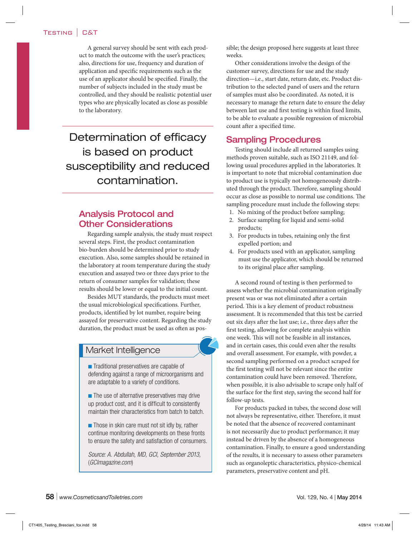A general survey should be sent with each product to match the outcome with the user's practices; also, directions for use, frequency and duration of application and specific requirements such as the use of an applicator should be specified. Finally, the number of subjects included in the study must be controlled, and they should be realistic potential user types who are physically located as close as possible to the laboratory.

Determination of efficacy is based on product susceptibility and reduced contamination.

# Analysis Protocol and Other Considerations

Regarding sample analysis, the study must respect several steps. First, the product contamination bio-burden should be determined prior to study execution. Also, some samples should be retained in the laboratory at room temperature during the study execution and assayed two or three days prior to the return of consumer samples for validation; these results should be lower or equal to the initial count.

Besides MUT standards, the products must meet the usual microbiological specifications. Further, products, identified by lot number, require being assayed for preservative content. Regarding the study duration, the product must be used as often as pos-

# Market Intelligence

**n** Traditional preservatives are capable of defending against a range of microorganisms and are adaptable to a variety of conditions.

 $\blacksquare$  The use of alternative preservatives may drive up product cost, and it is difficult to consistently maintain their characteristics from batch to batch.

 $\blacksquare$  Those in skin care must not sit idly by, rather continue monitoring developments on these fronts to ensure the safety and satisfaction of consumers.

*Source: A. Abdullah, MD, GCI, September 2013,*  (*GCImagazine.com*)

sible; the design proposed here suggests at least three weeks.

Other considerations involve the design of the customer survey, directions for use and the study direction—i.e., start date, return date, etc. Product distribution to the selected panel of users and the return of samples must also be coordinated. As noted, it is necessary to manage the return date to ensure the delay between last use and first testing is within fixed limits, to be able to evaluate a possible regression of microbial count after a specified time.

# Sampling Procedures

Testing should include all returned samples using methods proven suitable, such as ISO 21149, and following usual procedures applied in the laboratories. It is important to note that microbial contamination due to product use is typically not homogeneously distributed through the product. Therefore, sampling should occur as close as possible to normal use conditions. The sampling procedure must include the following steps:

- 1. No mixing of the product before sampling;
- 2. Surface sampling for liquid and semi-solid products;
- 3. For products in tubes, retaining only the first expelled portion; and
- 4. For products used with an applicator, sampling must use the applicator, which should be returned to its original place after sampling.

A second round of testing is then performed to assess whether the microbial contamination originally present was or was not eliminated after a certain period. This is a key element of product robustness assessment. It is recommended that this test be carried out six days after the last use; i.e., three days after the first testing, allowing for complete analysis within one week. This will not be feasible in all instances, and in certain cases, this could even alter the results and overall assessment. For example, with powder, a second sampling performed on a product scraped for the first testing will not be relevant since the entire contamination could have been removed. Therefore, when possible, it is also advisable to scrape only half of the surface for the first step, saving the second half for follow-up tests.

For products packed in tubes, the second dose will not always be representative, either. Therefore, it must be noted that the absence of recovered contaminant is not necessarily due to product performance; it may instead be driven by the absence of a homogeneous contamination. Finally, to ensure a good understanding of the results, it is necessary to assess other parameters such as organoleptic characteristics, physico-chemical parameters, preservative content and pH.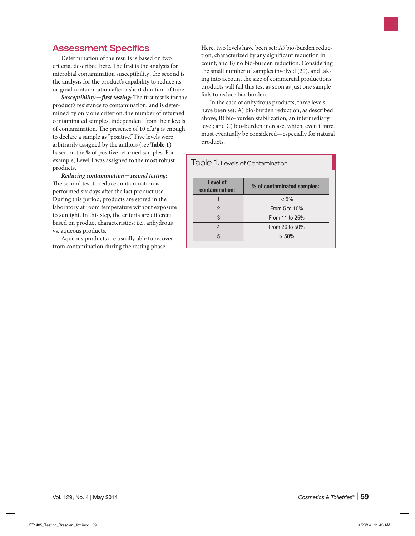# Assessment Specifics

Determination of the results is based on two criteria, described here. The first is the analysis for microbial contamination susceptibility; the second is the analysis for the product's capability to reduce its original contamination after a short duration of time.

*Susceptibility*—*first testing:* The first test is for the product's resistance to contamination, and is determined by only one criterion: the number of returned contaminated samples, independent from their levels of contamination. The presence of 10 cfu/g is enough to declare a sample as "positive." Five levels were arbitrarily assigned by the authors (see **Table 1**) based on the % of positive returned samples. For example, Level 1 was assigned to the most robust products.

*Reducing contamination*—*second testing:*  The second test to reduce contamination is performed six days after the last product use. During this period, products are stored in the laboratory at room temperature without exposure to sunlight. In this step, the criteria are different based on product characteristics; i.e., anhydrous vs. aqueous products.

Aqueous products are usually able to recover from contamination during the resting phase.

Here, two levels have been set: A) bio-burden reduction, characterized by any significant reduction in count; and B) no bio-burden reduction. Considering the small number of samples involved (20), and taking into account the size of commercial productions, products will fail this test as soon as just one sample fails to reduce bio-burden.

In the case of anhydrous products, three levels have been set: A) bio-burden reduction, as described above; B) bio-burden stabilization, an intermediary level; and C) bio-burden increase, which, even if rare, must eventually be considered—especially for natural products.

| Table 1. Levels of Contamination                                |                |                |  |  |  |  |
|-----------------------------------------------------------------|----------------|----------------|--|--|--|--|
| <b>Level of</b><br>% of contaminated samples:<br>contamination: |                |                |  |  |  |  |
|                                                                 |                | $< 5\%$        |  |  |  |  |
|                                                                 | $\mathfrak{p}$ | From 5 to 10%  |  |  |  |  |
|                                                                 | 3              | From 11 to 25% |  |  |  |  |
| From 26 to 50%                                                  |                |                |  |  |  |  |
|                                                                 | 5<br>$> 50\%$  |                |  |  |  |  |
|                                                                 |                |                |  |  |  |  |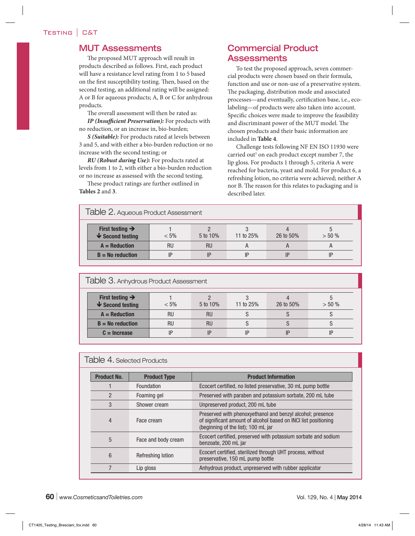# MUT Assessments

The proposed MUT approach will result in products described as follows. First, each product will have a resistance level rating from 1 to 5 based on the first susceptibility testing. Then, based on the second testing, an additional rating will be assigned: A or B for aqueous products; A, B or C for anhydrous products.

The overall assessment will then be rated as:

*IP (Insufficient Preservation):* For products with no reduction, or an increase in, bio-burden;

*S (Suitable):* For products rated at levels between 3 and 5, and with either a bio-burden reduction or no increase with the second testing; or

*RU (Robust during Use):* For products rated at levels from 1 to 2, with either a bio-burden reduction or no increase as assessed with the second testing.

These product ratings are further outlined in **Tables 2** and **3**.

# Commercial Product Assessments

To test the proposed approach, seven commercial products were chosen based on their formula, function and use or non-use of a preservative system. The packaging, distribution mode and associated processes—and eventually, certification base, i.e., ecolabeling—of products were also taken into account. Specific choices were made to improve the feasibility and discriminant power of the MUT model. The chosen products and their basic information are included in **Table 4**.

Challenge tests following NF EN ISO 11930 were carried out<sup>1</sup> on each product except number 7, the lip gloss. For products 1 through 5, criteria A were reached for bacteria, yeast and mold. For product 6, a refreshing lotion, no criteria were achieved; neither A nor B. The reason for this relates to packaging and is described later.

| Table 2. Aqueous Product Assessment                     |           |           |           |           |           |  |  |
|---------------------------------------------------------|-----------|-----------|-----------|-----------|-----------|--|--|
| First testing $\rightarrow$<br>$\bigvee$ Second testing | $< 5\%$   | 5 to 10%  | 11 to 25% | 26 to 50% | $> 50 \%$ |  |  |
| $A = Reduction$                                         | <b>RU</b> | <b>RU</b> | H         |           |           |  |  |
| $B = No$ reduction                                      |           |           | IP        |           |           |  |  |

| Table 3. Anhydrous Product Assessment                   |           |           |           |           |           |  |
|---------------------------------------------------------|-----------|-----------|-----------|-----------|-----------|--|
| First testing $\rightarrow$<br>$\bigvee$ Second testing | $< 5\%$   | 5 to 10%  | 11 to 25% | 26 to 50% | $> 50 \%$ |  |
| $A = Reduction$                                         | <b>RU</b> | <b>RU</b> |           |           |           |  |
| $B = No$ reduction                                      | RU        | <b>RU</b> |           |           |           |  |
| $C =$ Increase                                          | ID        |           |           |           |           |  |

| Table 4. Selected Products                                              |                     |                                                                                                                                                                      |  |  |  |
|-------------------------------------------------------------------------|---------------------|----------------------------------------------------------------------------------------------------------------------------------------------------------------------|--|--|--|
| <b>Product No.</b>                                                      | <b>Product Type</b> | <b>Product Information</b>                                                                                                                                           |  |  |  |
|                                                                         | Foundation          | Ecocert certified, no listed preservative, 30 mL pump bottle                                                                                                         |  |  |  |
| 2                                                                       | Foaming gel         | Preserved with paraben and potassium sorbate, 200 mL tube                                                                                                            |  |  |  |
| 3                                                                       | Shower cream        | Unpreserved product, 200 mL tube                                                                                                                                     |  |  |  |
| 4                                                                       | Face cream          | Preserved with phenoxyethanol and benzyl alcohol; presence<br>of significant amount of alcohol based on INCI list positioning<br>(beginning of the list); 100 mL jar |  |  |  |
| 5                                                                       | Face and body cream | Ecocert certified, preserved with potassium sorbate and sodium<br>benzoate, 200 mL jar                                                                               |  |  |  |
| 6                                                                       | Refreshing lotion   | Ecocert certified, sterilized through UHT process, without<br>preservative, 150 mL pump bottle                                                                       |  |  |  |
| Anhydrous product, unpreserved with rubber applicator<br>7<br>Lip gloss |                     |                                                                                                                                                                      |  |  |  |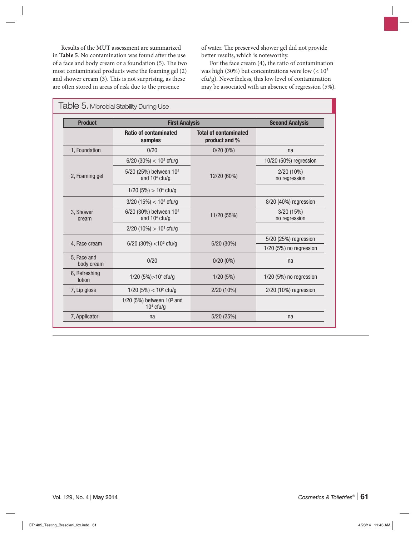Results of the MUT assessment are summarized in **Table 5**. No contamination was found after the use of a face and body cream or a foundation (5). The two most contaminated products were the foaming gel (2) and shower cream (3). This is not surprising, as these are often stored in areas of risk due to the presence

of water. The preserved shower gel did not provide better results, which is noteworthy.

For the face cream (4), the ratio of contamination was high (30%) but concentrations were low  $(< 10<sup>2</sup>$ cfu/g). Nevertheless, this low level of contamination may be associated with an absence of regression (5%).

| <b>Product</b>            | <b>First Analysis</b>                                 |                                               | <b>Second Analysis</b>        |  |
|---------------------------|-------------------------------------------------------|-----------------------------------------------|-------------------------------|--|
|                           | <b>Ratio of contaminated</b><br>samples               | <b>Total of contaminated</b><br>product and % |                               |  |
| 1, Foundation             | 0/20                                                  | $0/20(0\%)$                                   | na                            |  |
|                           | 6/20 (30%) < $10^2$ cfu/g                             |                                               | 10/20 (50%) regression        |  |
| 2, Foaming gel            | 5/20 (25%) between 10 <sup>2</sup><br>and $104$ cfu/g | 12/20 (60%)                                   | $2/20(10\%)$<br>no regression |  |
|                           | $1/20$ (5%) $> 104$ cfu/g                             |                                               |                               |  |
|                           | $3/20$ (15%) < 10 <sup>2</sup> cfu/g                  |                                               | 8/20 (40%) regression         |  |
| 3, Shower<br>cream        | 6/20 (30%) between 10 <sup>2</sup><br>and $104$ cfu/g | 11/20 (55%)                                   | 3/20 (15%)<br>no regression   |  |
|                           | $2/20$ (10%) $> 104$ cfu/g                            |                                               |                               |  |
| 4, Face cream             | 6/20 (30%) <10 <sup>2</sup> cfu/g                     | 6/20 (30%)                                    | 5/20 (25%) regression         |  |
|                           |                                                       |                                               | 1/20 (5%) no regression       |  |
| 5, Face and<br>body cream | 0/20                                                  | $0/20(0\%)$                                   | na                            |  |
| 6, Refreshing<br>lotion   | 1/20 (5%) > $104$ cfu/g                               | 1/20(5%)                                      | $1/20$ (5%) no regression     |  |
| 7, Lip gloss              | $1/20$ (5%) < $10^2$ cfu/g                            | 2/20 (10%)                                    | 2/20 (10%) regression         |  |
|                           | 1/20 (5%) between 10 <sup>2</sup> and<br>$104$ cfu/g  |                                               |                               |  |
| 7, Applicator             | na                                                    | 5/20 (25%)                                    | na                            |  |

#### Table 5. Microbial Stability During Use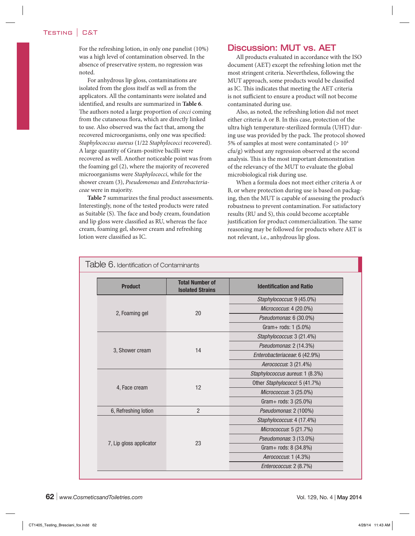#### Testing | C&T

For the refreshing lotion, in only one panelist (10%) was a high level of contamination observed. In the absence of preservative system, no regression was noted.

For anhydrous lip gloss, contaminations are isolated from the gloss itself as well as from the applicators. All the contaminants were isolated and identified, and results are summarized in **Table 6**. The authors noted a large proportion of *cocci* coming from the cutaneous flora, which are directly linked to use. Also observed was the fact that, among the recovered microorganisms, only one was specified: *Staphylococcus aureus* (1/22 *Staphylococci* recovered). A large quantity of Gram-positive bacilli were recovered as well. Another noticeable point was from the foaming gel (2), where the majority of recovered microorganisms were *Staphylococci*, while for the shower cream (3), *Pseudomonas* and *Enterobacteriaceae* were in majority.

**Table 7** summarizes the final product assessments. Interestingly, none of the tested products were rated as Suitable (S). The face and body cream, foundation and lip gloss were classified as RU, whereas the face cream, foaming gel, shower cream and refreshing lotion were classified as IC.

#### Discussion: MUT vs. AET

All products evaluated in accordance with the ISO document (AET) except the refreshing lotion met the most stringent criteria. Nevertheless, following the MUT approach, some products would be classified as IC. This indicates that meeting the AET criteria is not sufficient to ensure a product will not become contaminated during use.

Also, as noted, the refreshing lotion did not meet either criteria A or B. In this case, protection of the ultra high temperature-sterilized formula (UHT) during use was provided by the pack. The protocol showed 5% of samples at most were contaminated  $(>10<sup>4</sup>)$ cfu/g) without any regression observed at the second analysis. This is the most important demonstration of the relevancy of the MUT to evaluate the global microbiological risk during use.

When a formula does not meet either criteria A or B, or where protection during use is based on packaging, then the MUT is capable of assessing the product's robustness to prevent contamination. For satisfactory results (RU and S), this could become acceptable justification for product commercialization. The same reasoning may be followed for products where AET is not relevant, i.e., anhydrous lip gloss.

| Table 6. Identification of Contaminants |                                                   |                                 |  |
|-----------------------------------------|---------------------------------------------------|---------------------------------|--|
| <b>Product</b>                          | <b>Total Number of</b><br><b>Isolated Strains</b> | <b>Identification and Ratio</b> |  |
|                                         |                                                   | Staphylococcus: 9 (45.0%)       |  |
|                                         | 20                                                | Micrococcus: 4 (20.0%)          |  |
| 2, Foaming gel                          |                                                   | Pseudomonas: 6 (30.0%)          |  |
|                                         |                                                   | Gram+ rods: 1 (5.0%)            |  |
| 3, Shower cream                         |                                                   | Staphylococcus: 3 (21.4%)       |  |
|                                         |                                                   | Pseudomonas: 2 (14.3%)          |  |
|                                         | 14                                                | Enterobacteriaceae: 6 (42.9%)   |  |
|                                         |                                                   | Aerococcus: 3 (21.4%)           |  |
| 4, Face cream                           |                                                   | Staphylococcus aureus: 1 (8.3%) |  |
|                                         |                                                   | Other Staphylococci: 5 (41.7%)  |  |
|                                         | 12                                                | Micrococcus: 3 (25.0%)          |  |
|                                         |                                                   | Gram+ rods: 3 (25.0%)           |  |
| 6, Refreshing lotion                    | $\overline{2}$                                    | Pseudomonas: 2 (100%)           |  |
| 7, Lip gloss applicator                 |                                                   | Staphylococcus: 4 (17.4%)       |  |
|                                         |                                                   | Micrococcus: 5 (21.7%)          |  |
|                                         |                                                   | Pseudomonas: 3 (13.0%)          |  |
|                                         | 23                                                | Gram+ rods: 8 (34.8%)           |  |
|                                         |                                                   | Aerococcus: 1 (4.3%)            |  |
|                                         |                                                   | Enterococcus: 2 (8.7%)          |  |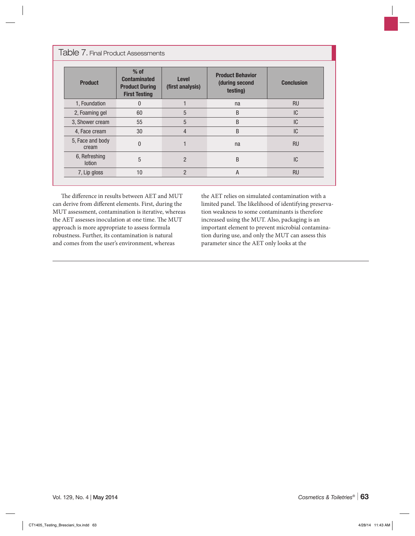Table 7. Final Product Assessments

| <b>Product</b>                 | $%$ of<br><b>Contaminated</b><br><b>Product During</b><br><b>First Testing</b> | <b>Level</b><br>(first analysis) | <b>Product Behavior</b><br>(during second<br>testing) | <b>Conclusion</b> |
|--------------------------------|--------------------------------------------------------------------------------|----------------------------------|-------------------------------------------------------|-------------------|
| 1, Foundation                  | 0                                                                              |                                  | na                                                    | <b>RU</b>         |
| 2, Foaming gel                 | 60                                                                             | 5                                | B                                                     | IC                |
| 3, Shower cream                | 55                                                                             | 5                                | B                                                     | IC                |
| 4, Face cream                  | 30                                                                             | 4                                | B                                                     | IC                |
| 5, Face and body<br>cream      | 0                                                                              |                                  | na                                                    | <b>RU</b>         |
| 6, Refreshing<br><b>lotion</b> | 5                                                                              | $\overline{2}$                   | B                                                     | IC                |
| 7, Lip gloss                   | 10                                                                             | $\overline{2}$                   | А                                                     | <b>RU</b>         |

The difference in results between AET and MUT can derive from different elements. First, during the MUT assessment, contamination is iterative, whereas the AET assesses inoculation at one time. The MUT approach is more appropriate to assess formula robustness. Further, its contamination is natural and comes from the user's environment, whereas

the AET relies on simulated contamination with a limited panel. The likelihood of identifying preservation weakness to some contaminants is therefore increased using the MUT. Also, packaging is an important element to prevent microbial contamination during use, and only the MUT can assess this parameter since the AET only looks at the